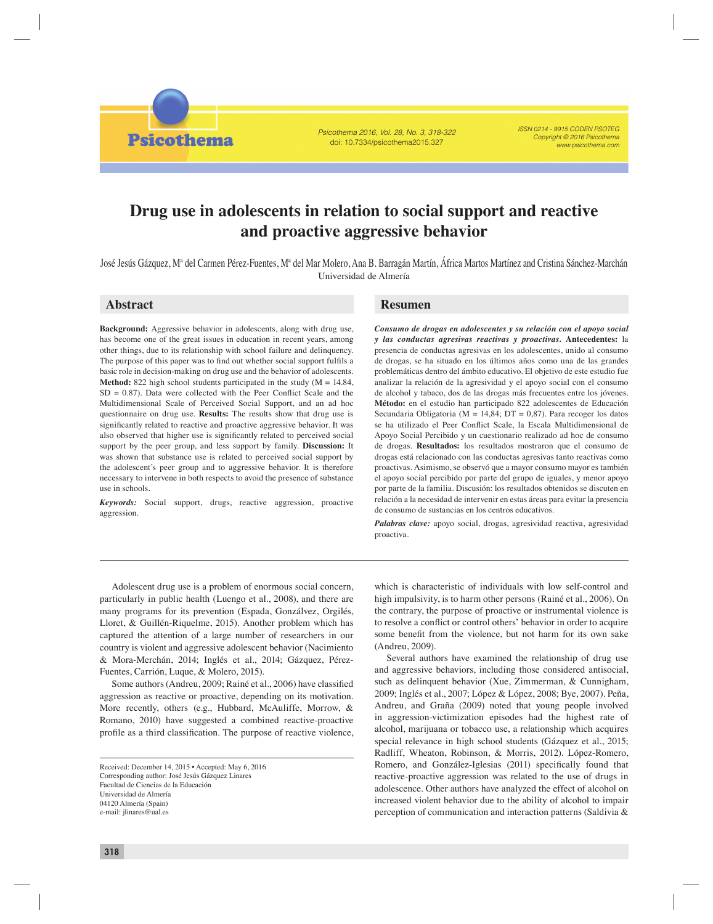Psicothema 2016, Vol. 28, No. 3, 318-322 doi: 10.7334/psicothema2015.327

ISSN 0214 - 9915 CODEN PSOTEG Copyright © 2016 Psicothema www.psicothema.com

# **Drug use in adolescents in relation to social support and reactive and proactive aggressive behavior**

José Jesús Gázquez, Mª del Carmen Pérez-Fuentes, Mª del Mar Molero, Ana B. Barragán Martín, África Martos Martínez and Cristina Sánchez-Marchán

José Jesús Gázquez, Mª del Carmen Pérez-Fuentes, Mª del Mar Molero, Ana B. Barragán Martín, África Martos Martínez and Cristina Sánchez-Marchán Universidad de Almería

# **Abstract Resumen**

**Psicothema** 

**Background:** Aggressive behavior in adolescents, along with drug use, has become one of the great issues in education in recent years, among other things, due to its relationship with school failure and delinquency. The purpose of this paper was to find out whether social support fulfils a basic role in decision-making on drug use and the behavior of adolescents. **Method:** 822 high school students participated in the study  $(M = 14.84,$  $SD = 0.87$ ). Data were collected with the Peer Conflict Scale and the Multidimensional Scale of Perceived Social Support, and an ad hoc questionnaire on drug use. **Results:** The results show that drug use is significantly related to reactive and proactive aggressive behavior. It was also observed that higher use is significantly related to perceived social support by the peer group, and less support by family. **Discussion:** It was shown that substance use is related to perceived social support by the adolescent's peer group and to aggressive behavior. It is therefore necessary to intervene in both respects to avoid the presence of substance use in schools.

*Keywords:* Social support, drugs, reactive aggression, proactive aggression.

*Consumo de drogas en adolescentes y su relación con el apoyo social y las conductas agresivas reactivas y proactivas.* **Antecedentes:** la presencia de conductas agresivas en los adolescentes, unido al consumo de drogas, se ha situado en los últimos años como una de las grandes problemáticas dentro del ámbito educativo. El objetivo de este estudio fue analizar la relación de la agresividad y el apoyo social con el consumo de alcohol y tabaco, dos de las drogas más frecuentes entre los jóvenes. **Método:** en el estudio han participado 822 adolescentes de Educación Secundaria Obligatoria ( $M = 14,84$ ;  $DT = 0,87$ ). Para recoger los datos se ha utilizado el Peer Conflict Scale, la Escala Multidimensional de Apoyo Social Percibido y un cuestionario realizado ad hoc de consumo de drogas. **Resultados:** los resultados mostraron que el consumo de drogas está relacionado con las conductas agresivas tanto reactivas como proactivas. Asimismo, se observó que a mayor consumo mayor es también el apoyo social percibido por parte del grupo de iguales, y menor apoyo por parte de la familia. Discusión: los resultados obtenidos se discuten en relación a la necesidad de intervenir en estas áreas para evitar la presencia de consumo de sustancias en los centros educativos.

*Palabras clave:* apoyo social, drogas, agresividad reactiva, agresividad proactiva.

Adolescent drug use is a problem of enormous social concern, particularly in public health (Luengo et al., 2008), and there are many programs for its prevention (Espada, Gonzálvez, Orgilés, Lloret, & Guillén-Riquelme, 2015). Another problem which has captured the attention of a large number of researchers in our country is violent and aggressive adolescent behavior (Nacimiento & Mora-Merchán, 2014; Inglés et al., 2014; Gázquez, Pérez-Fuentes, Carrión, Luque, & Molero, 2015).

Some authors (Andreu, 2009; Rainé et al., 2006) have classified aggression as reactive or proactive, depending on its motivation. More recently, others (e.g., Hubbard, McAuliffe, Morrow, & Romano, 2010) have suggested a combined reactive-proactive profile as a third classification. The purpose of reactive violence,

which is characteristic of individuals with low self-control and high impulsivity, is to harm other persons (Rainé et al., 2006). On the contrary, the purpose of proactive or instrumental violence is to resolve a conflict or control others' behavior in order to acquire some benefit from the violence, but not harm for its own sake (Andreu, 2009).

Several authors have examined the relationship of drug use and aggressive behaviors, including those considered antisocial, such as delinquent behavior (Xue, Zimmerman, & Cunnigham, 2009; Inglés et al., 2007; López & López, 2008; Bye, 2007). Peña, Andreu, and Graña (2009) noted that young people involved in aggression-victimization episodes had the highest rate of alcohol, marijuana or tobacco use, a relationship which acquires special relevance in high school students (Gázquez et al., 2015; Radliff, Wheaton, Robinson, & Morris, 2012). López-Romero, Romero, and González-Iglesias (2011) specifically found that reactive-proactive aggression was related to the use of drugs in adolescence. Other authors have analyzed the effect of alcohol on increased violent behavior due to the ability of alcohol to impair perception of communication and interaction patterns (Saldivia &

Received: December 14, 2015 • Accepted: May 6, 2016 Corresponding author: José Jesús Gázquez Linares Facultad de Ciencias de la Educación Universidad de Almería 04120 Almería (Spain) e-mail: jlinares@ual.es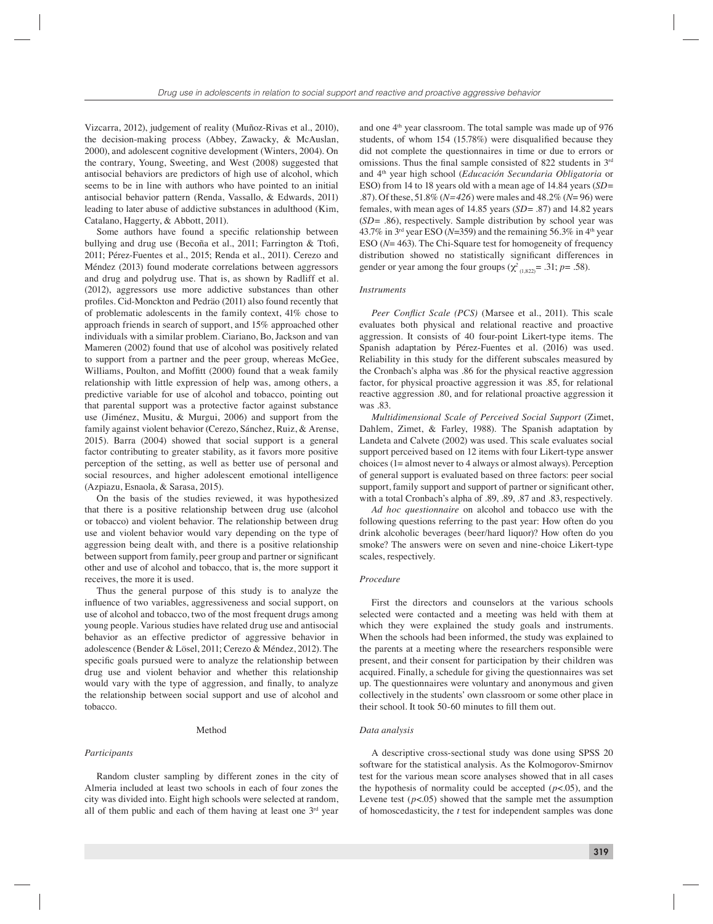Vizcarra, 2012), judgement of reality (Muñoz-Rivas et al., 2010), the decision-making process (Abbey, Zawacky, & McAuslan, 2000), and adolescent cognitive development (Winters, 2004). On the contrary, Young, Sweeting, and West (2008) suggested that antisocial behaviors are predictors of high use of alcohol, which seems to be in line with authors who have pointed to an initial antisocial behavior pattern (Renda, Vassallo, & Edwards, 2011) leading to later abuse of addictive substances in adulthood (Kim, Catalano, Haggerty, & Abbott, 2011).

Some authors have found a specific relationship between bullying and drug use (Becoña et al., 2011; Farrington & Ttofi, 2011; Pérez-Fuentes et al., 2015; Renda et al., 2011). Cerezo and Méndez (2013) found moderate correlations between aggressors and drug and polydrug use. That is, as shown by Radliff et al. (2012), aggressors use more addictive substances than other profiles. Cid-Monckton and Pedräo (2011) also found recently that of problematic adolescents in the family context, 41% chose to approach friends in search of support, and 15% approached other individuals with a similar problem. Ciariano, Bo, Jackson and van Mameren (2002) found that use of alcohol was positively related to support from a partner and the peer group, whereas McGee, Williams, Poulton, and Moffitt (2000) found that a weak family relationship with little expression of help was, among others, a predictive variable for use of alcohol and tobacco, pointing out that parental support was a protective factor against substance use (Jiménez, Musitu, & Murgui, 2006) and support from the family against violent behavior (Cerezo, Sánchez, Ruiz, & Arense, 2015). Barra (2004) showed that social support is a general factor contributing to greater stability, as it favors more positive perception of the setting, as well as better use of personal and social resources, and higher adolescent emotional intelligence (Azpiazu, Esnaola, & Sarasa, 2015).

On the basis of the studies reviewed, it was hypothesized that there is a positive relationship between drug use (alcohol or tobacco) and violent behavior. The relationship between drug use and violent behavior would vary depending on the type of aggression being dealt with, and there is a positive relationship between support from family, peer group and partner or significant other and use of alcohol and tobacco, that is, the more support it receives, the more it is used.

Thus the general purpose of this study is to analyze the influence of two variables, aggressiveness and social support, on use of alcohol and tobacco, two of the most frequent drugs among young people. Various studies have related drug use and antisocial behavior as an effective predictor of aggressive behavior in adolescence (Bender & Lösel, 2011; Cerezo & Méndez, 2012). The specific goals pursued were to analyze the relationship between drug use and violent behavior and whether this relationship would vary with the type of aggression, and finally, to analyze the relationship between social support and use of alcohol and tobacco.

# Method

#### *Participants*

Random cluster sampling by different zones in the city of Almeria included at least two schools in each of four zones the city was divided into. Eight high schools were selected at random, all of them public and each of them having at least one 3rd year

and one 4<sup>th</sup> year classroom. The total sample was made up of 976 students, of whom  $154$  (15.78%) were disqualified because they did not complete the questionnaires in time or due to errors or omissions. Thus the final sample consisted of 822 students in  $3<sup>rd</sup>$ and 4th year high school (*Educación Secundaria Obligatoria* or ESO) from 14 to 18 years old with a mean age of 14.84 years (*SD*= .87). Of these, 51.8% (*N=426*) were males and 48.2% (*N*= 96) were females, with mean ages of 14.85 years (*SD*= .87) and 14.82 years (*SD*= .86), respectively. Sample distribution by school year was 43.7% in  $3<sup>rd</sup>$  year ESO ( $N=359$ ) and the remaining 56.3% in  $4<sup>th</sup>$  year ESO (*N*= 463). The Chi-Square test for homogeneity of frequency distribution showed no statistically significant differences in gender or year among the four groups ( $\chi^2_{(1,822)}$ = .31; *p*= .58).

# *Instruments*

*Peer Conflict Scale (PCS)* (Marsee et al., 2011). This scale evaluates both physical and relational reactive and proactive aggression. It consists of 40 four-point Likert-type items. The Spanish adaptation by Pérez-Fuentes et al. (2016) was used. Reliability in this study for the different subscales measured by the Cronbach's alpha was .86 for the physical reactive aggression factor, for physical proactive aggression it was .85, for relational reactive aggression .80, and for relational proactive aggression it was .83.

*Multidimensional Scale of Perceived Social Support* (Zimet, Dahlem, Zimet, & Farley, 1988)*.* The Spanish adaptation by Landeta and Calvete (2002) was used. This scale evaluates social support perceived based on 12 items with four Likert-type answer choices (1= almost never to 4 always or almost always). Perception of general support is evaluated based on three factors: peer social support, family support and support of partner or significant other, with a total Cronbach's alpha of .89, .89, .87 and .83, respectively.

*Ad hoc questionnaire* on alcohol and tobacco use with the following questions referring to the past year: How often do you drink alcoholic beverages (beer/hard liquor)? How often do you smoke? The answers were on seven and nine-choice Likert-type scales, respectively.

# *Procedure*

First the directors and counselors at the various schools selected were contacted and a meeting was held with them at which they were explained the study goals and instruments. When the schools had been informed, the study was explained to the parents at a meeting where the researchers responsible were present, and their consent for participation by their children was acquired. Finally, a schedule for giving the questionnaires was set up. The questionnaires were voluntary and anonymous and given collectively in the students' own classroom or some other place in their school. It took 50-60 minutes to fill them out.

# *Data analysis*

A descriptive cross-sectional study was done using SPSS 20 software for the statistical analysis. As the Kolmogorov-Smirnov test for the various mean score analyses showed that in all cases the hypothesis of normality could be accepted  $(p<.05)$ , and the Levene test  $(p<.05)$  showed that the sample met the assumption of homoscedasticity, the *t* test for independent samples was done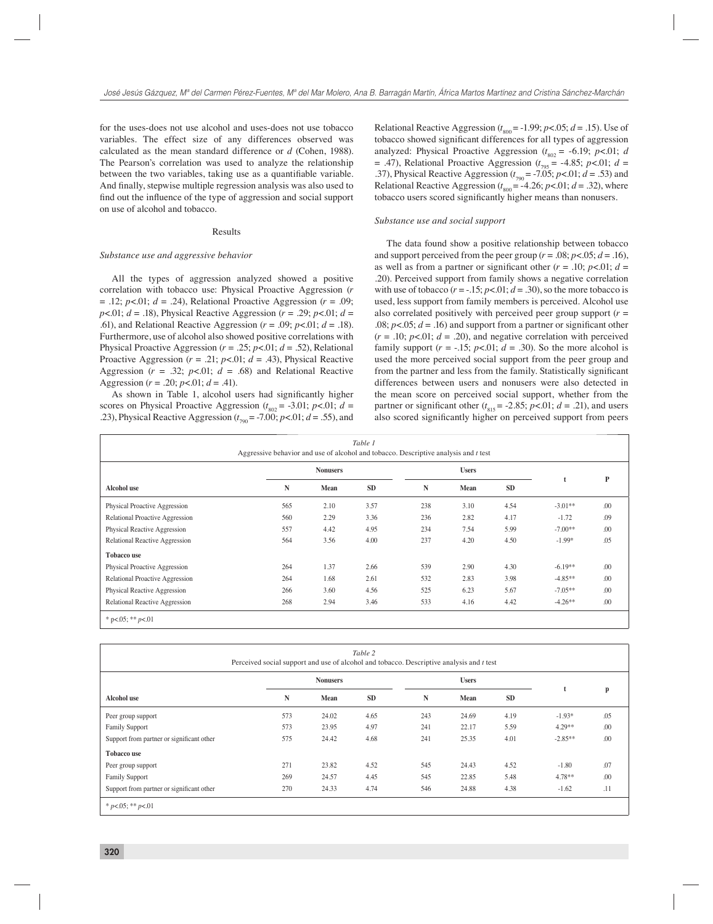for the uses-does not use alcohol and uses-does not use tobacco variables. The effect size of any differences observed was calculated as the mean standard difference or *d* (Cohen, 1988). The Pearson's correlation was used to analyze the relationship between the two variables, taking use as a quantifiable variable. And finally, stepwise multiple regression analysis was also used to find out the influence of the type of aggression and social support on use of alcohol and tobacco.

#### Results

#### *Substance use and aggressive behavior*

All the types of aggression analyzed showed a positive correlation with tobacco use: Physical Proactive Aggression (*r*  = .12; *p*<.01; *d* = .24), Relational Proactive Aggression (*r* = .09; *p*<.01; *d* = .18), Physical Reactive Aggression (*r* = .29; *p*<.01; *d* = .61), and Relational Reactive Aggression (*r* = .09; *p*<.01; *d* = .18). Furthermore, use of alcohol also showed positive correlations with Physical Proactive Aggression ( $r = .25$ ;  $p < .01$ ;  $d = .52$ ), Relational Proactive Aggression  $(r = .21; p < .01; d = .43)$ , Physical Reactive Aggression  $(r = .32; p < .01; d = .68)$  and Relational Reactive Aggression ( $r = .20$ ;  $p < .01$ ;  $d = .41$ ).

As shown in Table 1, alcohol users had significantly higher scores on Physical Proactive Aggression ( $t_{802}$  = -3.01; *p*<.01; *d* = .23), Physical Reactive Aggression  $(t_{790} = -7.00; p < .01; d = .55)$ , and

Relational Reactive Aggression  $(t_{800} = -1.99; p < .05; d = .15)$ . Use of tobacco showed significant differences for all types of aggression analyzed: Physical Proactive Aggression  $(t_{802} = -6.19; p < 0.01; d$ = .47), Relational Proactive Aggression (*t* <sup>795</sup>= -4.85; *p*<.01; *d* = .37), Physical Reactive Aggression (*t* 790 = -7.05; *p*<.01; *d* = .53) and Relational Reactive Aggression  $(t_{\text{800}} = -4.26; p < 0.01; d = .32)$ , where tobacco users scored significantly higher means than nonusers.

#### *Substance use and social support*

The data found show a positive relationship between tobacco and support perceived from the peer group ( $r = .08$ ;  $p < .05$ ;  $d = .16$ ), as well as from a partner or significant other  $(r = .10; p<.01; d =$ .20). Perceived support from family shows a negative correlation with use of tobacco  $(r = -0.15; p < 0.01; d = 0.30)$ , so the more tobacco is used, less support from family members is perceived. Alcohol use also correlated positively with perceived peer group support (*r* = .08;  $p<.05$ ;  $d = .16$ ) and support from a partner or significant other  $(r = .10; p<.01; d = .20)$ , and negative correlation with perceived family support  $(r = -.15; p < .01; d = .30)$ . So the more alcohol is used the more perceived social support from the peer group and from the partner and less from the family. Statistically significant differences between users and nonusers were also detected in the mean score on perceived social support, whether from the partner or significant other  $(t_{\text{815}} = -2.85; p < 0.01; d = .21)$ , and users also scored significantly higher on perceived support from peers

| Table 1<br>Aggressive behavior and use of alcohol and tobacco. Descriptive analysis and t test |                 |      |      |              |      |           |           |     |  |  |  |  |
|------------------------------------------------------------------------------------------------|-----------------|------|------|--------------|------|-----------|-----------|-----|--|--|--|--|
|                                                                                                | <b>Nonusers</b> |      |      | <b>Users</b> |      |           |           |     |  |  |  |  |
| <b>Alcohol</b> use                                                                             | N               | Mean | SD   | N            | Mean | <b>SD</b> |           | P   |  |  |  |  |
| Physical Proactive Aggression                                                                  | 565             | 2.10 | 3.57 | 238          | 3.10 | 4.54      | $-3.01**$ | .00 |  |  |  |  |
| Relational Proactive Aggression                                                                | 560             | 2.29 | 3.36 | 236          | 2.82 | 4.17      | $-1.72$   | .09 |  |  |  |  |
| Physical Reactive Aggression                                                                   | 557             | 4.42 | 4.95 | 234          | 7.54 | 5.99      | $-7.00**$ | .00 |  |  |  |  |
| Relational Reactive Aggression                                                                 | 564             | 3.56 | 4.00 | 237          | 4.20 | 4.50      | $-1.99*$  | .05 |  |  |  |  |
| <b>Tobacco use</b>                                                                             |                 |      |      |              |      |           |           |     |  |  |  |  |
| Physical Proactive Aggression                                                                  | 264             | 1.37 | 2.66 | 539          | 2.90 | 4.30      | $-6.19**$ | .00 |  |  |  |  |
| Relational Proactive Aggression                                                                | 264             | 1.68 | 2.61 | 532          | 2.83 | 3.98      | $-4.85**$ | .00 |  |  |  |  |
| Physical Reactive Aggression                                                                   | 266             | 3.60 | 4.56 | 525          | 6.23 | 5.67      | $-7.05**$ | .00 |  |  |  |  |
| Relational Reactive Aggression                                                                 | 268             | 2.94 | 3.46 | 533          | 4.16 | 4.42      | $-4.26**$ | .00 |  |  |  |  |
| * p<.05; ** p<.01                                                                              |                 |      |      |              |      |           |           |     |  |  |  |  |

| Table 2<br>Perceived social support and use of alcohol and tobacco. Descriptive analysis and t test |                 |       |              |     |       |           |           |     |  |  |  |  |
|-----------------------------------------------------------------------------------------------------|-----------------|-------|--------------|-----|-------|-----------|-----------|-----|--|--|--|--|
|                                                                                                     | <b>Nonusers</b> |       | <b>Users</b> |     |       |           |           |     |  |  |  |  |
| <b>Alcohol</b> use                                                                                  | N               | Mean  | <b>SD</b>    | N   | Mean  | <b>SD</b> | t         | p   |  |  |  |  |
| Peer group support                                                                                  | 573             | 24.02 | 4.65         | 243 | 24.69 | 4.19      | $-1.93*$  | .05 |  |  |  |  |
| <b>Family Support</b>                                                                               | 573             | 23.95 | 4.97         | 241 | 22.17 | 5.59      | $4.29**$  | .00 |  |  |  |  |
| Support from partner or significant other                                                           | 575             | 24.42 | 4.68         | 241 | 25.35 | 4.01      | $-2.85**$ | .00 |  |  |  |  |
| <b>Tobacco use</b>                                                                                  |                 |       |              |     |       |           |           |     |  |  |  |  |
| Peer group support                                                                                  | 271             | 23.82 | 4.52         | 545 | 24.43 | 4.52      | $-1.80$   | .07 |  |  |  |  |
| <b>Family Support</b>                                                                               | 269             | 24.57 | 4.45         | 545 | 22.85 | 5.48      | $4.78**$  | .00 |  |  |  |  |
| Support from partner or significant other                                                           | 270             | 24.33 | 4.74         | 546 | 24.88 | 4.38      | $-1.62$   | .11 |  |  |  |  |
| * $p<05$ ; ** $p<01$                                                                                |                 |       |              |     |       |           |           |     |  |  |  |  |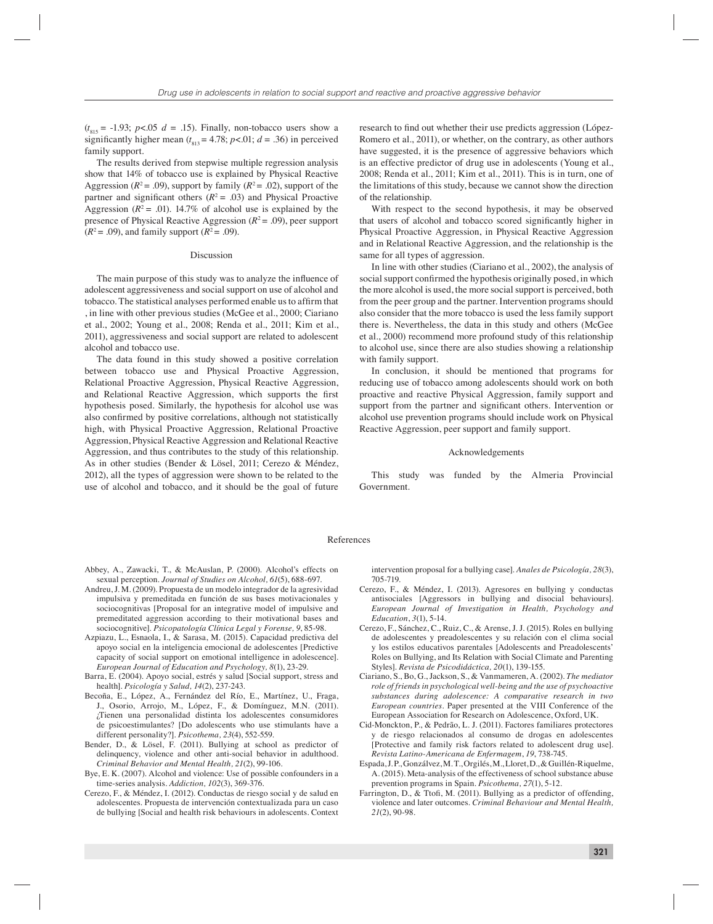$(t_{815} = -1.93; p<0.05 d = .15)$ . Finally, non-tobacco users show a significantly higher mean  $(t_{\text{813}} = 4.78; p < 0.01; d = .36)$  in perceived family support.

The results derived from stepwise multiple regression analysis show that 14% of tobacco use is explained by Physical Reactive Aggression ( $R^2 = .09$ ), support by family ( $R^2 = .02$ ), support of the partner and significant others  $(R^2 = .03)$  and Physical Proactive Aggression ( $R^2$  = .01). 14.7% of alcohol use is explained by the presence of Physical Reactive Aggression  $(R^2 = .09)$ , peer support  $(R^2 = .09)$ , and family support  $(R^2 = .09)$ .

# Discussion

The main purpose of this study was to analyze the influence of adolescent aggressiveness and social support on use of alcohol and tobacco. The statistical analyses performed enable us to affirm that , in line with other previous studies (McGee et al., 2000; Ciariano et al., 2002; Young et al., 2008; Renda et al., 2011; Kim et al., 2011), aggressiveness and social support are related to adolescent alcohol and tobacco use.

The data found in this study showed a positive correlation between tobacco use and Physical Proactive Aggression, Relational Proactive Aggression, Physical Reactive Aggression, and Relational Reactive Aggression, which supports the first hypothesis posed. Similarly, the hypothesis for alcohol use was also confirmed by positive correlations, although not statistically high, with Physical Proactive Aggression, Relational Proactive Aggression, Physical Reactive Aggression and Relational Reactive Aggression, and thus contributes to the study of this relationship. As in other studies (Bender & Lösel, 2011; Cerezo & Méndez, 2012), all the types of aggression were shown to be related to the use of alcohol and tobacco, and it should be the goal of future

research to find out whether their use predicts aggression (López-Romero et al., 2011), or whether, on the contrary, as other authors have suggested, it is the presence of aggressive behaviors which is an effective predictor of drug use in adolescents (Young et al., 2008; Renda et al., 2011; Kim et al., 2011). This is in turn, one of the limitations of this study, because we cannot show the direction of the relationship.

With respect to the second hypothesis, it may be observed that users of alcohol and tobacco scored significantly higher in Physical Proactive Aggression, in Physical Reactive Aggression and in Relational Reactive Aggression, and the relationship is the same for all types of aggression.

In line with other studies (Ciariano et al., 2002), the analysis of social support confirmed the hypothesis originally posed, in which the more alcohol is used, the more social support is perceived, both from the peer group and the partner. Intervention programs should also consider that the more tobacco is used the less family support there is. Nevertheless, the data in this study and others (McGee et al., 2000) recommend more profound study of this relationship to alcohol use, since there are also studies showing a relationship with family support.

In conclusion, it should be mentioned that programs for reducing use of tobacco among adolescents should work on both proactive and reactive Physical Aggression, family support and support from the partner and significant others. Intervention or alcohol use prevention programs should include work on Physical Reactive Aggression, peer support and family support.

#### Acknowledgements

This study was funded by the Almeria Provincial Government.

#### References

- Abbey, A., Zawacki, T., & McAuslan, P. (2000). Alcohol's effects on sexual perception. *Journal of Studies on Alcohol, 61*(5), 688-697.
- Andreu, J. M. (2009). Propuesta de un modelo integrador de la agresividad impulsiva y premeditada en función de sus bases motivacionales y sociocognitivas [Proposal for an integrative model of impulsive and premeditated aggression according to their motivational bases and sociocognitive]. *Psicopatología Clínica Legal y Forense, 9*, 85-98.
- Azpiazu, L., Esnaola, I., & Sarasa, M. (2015). Capacidad predictiva del apoyo social en la inteligencia emocional de adolescentes [Predictive capacity of social support on emotional intelligence in adolescence]. *European Journal of Education and Psychology, 8*(1), 23-29.
- Barra, E. (2004). Apoyo social, estrés y salud [Social support, stress and health]. *Psicología y Salud, 14*(2), 237-243.
- Becoña, E., López, A., Fernández del Río, E., Martínez, U., Fraga, J., Osorio, Arrojo, M., López, F., & Domínguez, M.N. (2011). ¿Tienen una personalidad distinta los adolescentes consumidores de psicoestimulantes? [Do adolescents who use stimulants have a different personality?]. *Psicothema, 23*(4), 552-559.
- Bender, D., & Lösel, F. (2011). Bullying at school as predictor of delinquency, violence and other anti-social behavior in adulthood. *Criminal Behavior and Mental Health, 21*(2), 99-106.
- Bye, E. K. (2007). Alcohol and violence: Use of possible confounders in a time-series analysis. *Addiction, 102*(3), 369-376.
- Cerezo, F., & Méndez, I. (2012). Conductas de riesgo social y de salud en adolescentes. Propuesta de intervención contextualizada para un caso de bullying [Social and health risk behaviours in adolescents. Context

intervention proposal for a bullying case]. *Anales de Psicología, 28*(3), 705-719.

- Cerezo, F., & Méndez, I. (2013). Agresores en bullying y conductas antisociales [Aggressors in bullying and disocial behaviours]. *European Journal of Investigation in Health, Psychology and Education*, *3*(1), 5-14.
- Cerezo, F., Sánchez, C., Ruiz, C., & Arense, J. J. (2015). Roles en bullying de adolescentes y preadolescentes y su relación con el clima social y los estilos educativos parentales [Adolescents and Preadolescents' Roles on Bullying, and Its Relation with Social Climate and Parenting Styles]. *Revista de Psicodidáctica, 20*(1), 139-155.
- Ciariano, S., Bo, G., Jackson, S., & Vanmameren, A. (2002). *The mediator role of friends in psychological well-being and the use of psychoactive substances during adolescence: A comparative research in two European countries.* Paper presented at the VIII Conference of the European Association for Research on Adolescence, Oxford, UK.
- Cid-Monckton, P., & Pedrão, L. J. (2011). Factores familiares protectores y de riesgo relacionados al consumo de drogas en adolescentes [Protective and family risk factors related to adolescent drug use]. *Revista Latino-Americana de Enfermagem*, *19*, 738-745.
- Espada, J. P., Gonzálvez, M. T., Orgilés, M., Lloret, D., & Guillén-Riquelme, A. (2015). Meta-analysis of the effectiveness of school substance abuse prevention programs in Spain. *Psicothema, 27*(1), 5-12.
- Farrington, D., & Ttofi, M. (2011). Bullying as a predictor of offending, violence and later outcomes. *Criminal Behaviour and Mental Health, 21*(2), 90-98.